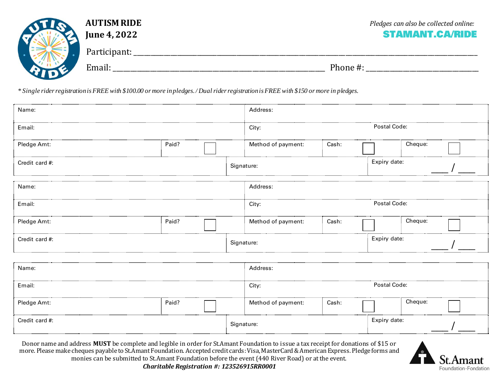| <b>AUTISM RIDE</b><br><b>June 4, 2022</b> | Pledges can also be collected online:<br><b>STAMANT.CA/RIDE</b> |
|-------------------------------------------|-----------------------------------------------------------------|
| Participant:                              |                                                                 |
| Email:                                    | Phone#:                                                         |

*\* Single rider registration is FREE with \$100.00 or more in pledges. / Dual rider registration is FREE with \$150 or more in pledges.*

| Name:          |                            |  | Address:                   |              |         |         |  |  |
|----------------|----------------------------|--|----------------------------|--------------|---------|---------|--|--|
| Email:         | Postal Code:<br>City:      |  |                            |              |         |         |  |  |
| Pledge Amt:    | Paid?                      |  | Method of payment:         | Cash:        | Cheque: |         |  |  |
| Credit card #: | Expiry date:<br>Signature: |  |                            |              |         |         |  |  |
| Name:          | Address:                   |  |                            |              |         |         |  |  |
| Email:         | Postal Code:<br>City:      |  |                            |              |         |         |  |  |
| Pledge Amt:    | Paid?                      |  | Method of payment:         | Cash:        |         | Cheque: |  |  |
| Credit card #: |                            |  | Expiry date:<br>Signature: |              |         |         |  |  |
| Name:          |                            |  | Address:                   |              |         |         |  |  |
| Email:         | Postal Code:<br>City:      |  |                            |              |         |         |  |  |
| Pledge Amt:    | Paid?                      |  | Method of payment:         | Cash:        |         | Cheque: |  |  |
| Credit card #: |                            |  | Signature:                 | Expiry date: |         |         |  |  |

Donor name and address **MUST** be complete and legible in order for St.Amant Foundation to issue a tax receipt for donations of \$15 or more. Please make cheques payable to St.Amant Foundation. Accepted credit cards: Visa, MasterCard & American Express. Pledge forms and monies can be submitted to St.Amant Foundation before the event (440 River Road) or at the event.



*Charitable Registration #: 123526915RR0001*